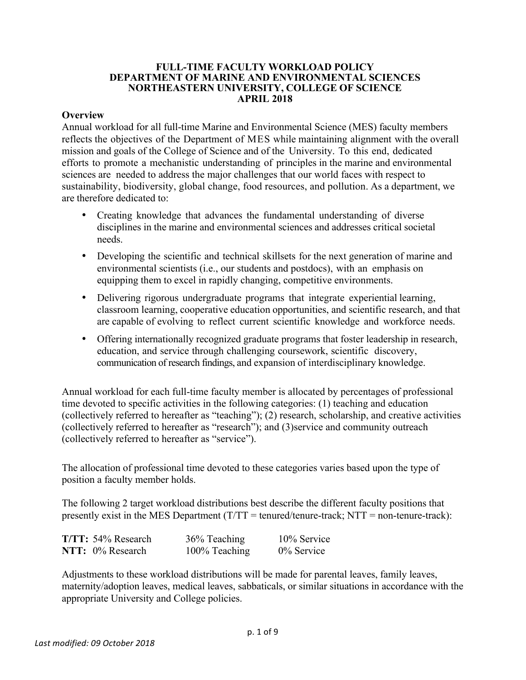#### **FULL-TIME FACULTY WORKLOAD POLICY DEPARTMENT OF MARINE AND ENVIRONMENTAL SCIENCES NORTHEASTERN UNIVERSITY, COLLEGE OF SCIENCE APRIL 2018**

### **Overview**

Annual workload for all full-time Marine and Environmental Science (MES) faculty members reflects the objectives of the Department of MES while maintaining alignment with the overall mission and goals of the College of Science and of the University. To this end, dedicated efforts to promote a mechanistic understanding of principles in the marine and environmental sciences are needed to address the major challenges that our world faces with respect to sustainability, biodiversity, global change, food resources, and pollution. As a department, we are therefore dedicated to:

- Creating knowledge that advances the fundamental understanding of diverse disciplines in the marine and environmental sciences and addresses critical societal needs.
- Developing the scientific and technical skillsets for the next generation of marine and environmental scientists (i.e., our students and postdocs), with an emphasis on equipping them to excel in rapidly changing, competitive environments.
- Delivering rigorous undergraduate programs that integrate experiential learning, classroom learning, cooperative education opportunities, and scientific research, and that are capable of evolving to reflect current scientific knowledge and workforce needs.
- Offering internationally recognized graduate programs that foster leadership in research, education, and service through challenging coursework, scientific discovery, communication of research findings, and expansion of interdisciplinary knowledge.

Annual workload for each full-time faculty member is allocated by percentages of professional time devoted to specific activities in the following categories: (1) teaching and education (collectively referred to hereafter as "teaching"); (2) research, scholarship, and creative activities (collectively referred to hereafter as "research"); and (3)service and community outreach (collectively referred to hereafter as "service").

The allocation of professional time devoted to these categories varies based upon the type of position a faculty member holds.

The following 2 target workload distributions best describe the different faculty positions that presently exist in the MES Department  $(T/TT =$  tenured/tenure-track; NTT = non-tenure-track):

| T/TT: 54% Research | 36% Teaching  | 10% Service |
|--------------------|---------------|-------------|
| NTT: 0% Research   | 100% Teaching | 0% Service  |

Adjustments to these workload distributions will be made for parental leaves, family leaves, maternity/adoption leaves, medical leaves, sabbaticals, or similar situations in accordance with the appropriate University and College policies.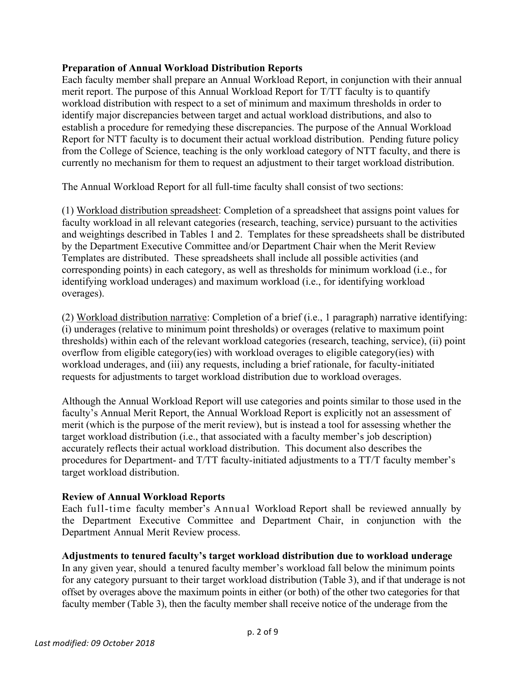## **Preparation of Annual Workload Distribution Reports**

Each faculty member shall prepare an Annual Workload Report, in conjunction with their annual merit report. The purpose of this Annual Workload Report for T/TT faculty is to quantify workload distribution with respect to a set of minimum and maximum thresholds in order to identify major discrepancies between target and actual workload distributions, and also to establish a procedure for remedying these discrepancies. The purpose of the Annual Workload Report for NTT faculty is to document their actual workload distribution. Pending future policy from the College of Science, teaching is the only workload category of NTT faculty, and there is currently no mechanism for them to request an adjustment to their target workload distribution.

The Annual Workload Report for all full-time faculty shall consist of two sections:

(1) Workload distribution spreadsheet: Completion of a spreadsheet that assigns point values for faculty workload in all relevant categories (research, teaching, service) pursuant to the activities and weightings described in Tables 1 and 2. Templates for these spreadsheets shall be distributed by the Department Executive Committee and/or Department Chair when the Merit Review Templates are distributed. These spreadsheets shall include all possible activities (and corresponding points) in each category, as well as thresholds for minimum workload (i.e., for identifying workload underages) and maximum workload (i.e., for identifying workload overages).

(2) Workload distribution narrative: Completion of a brief (i.e., 1 paragraph) narrative identifying: (i) underages (relative to minimum point thresholds) or overages (relative to maximum point thresholds) within each of the relevant workload categories (research, teaching, service), (ii) point overflow from eligible category(ies) with workload overages to eligible category(ies) with workload underages, and (iii) any requests, including a brief rationale, for faculty-initiated requests for adjustments to target workload distribution due to workload overages.

Although the Annual Workload Report will use categories and points similar to those used in the faculty's Annual Merit Report, the Annual Workload Report is explicitly not an assessment of merit (which is the purpose of the merit review), but is instead a tool for assessing whether the target workload distribution (i.e., that associated with a faculty member's job description) accurately reflects their actual workload distribution. This document also describes the procedures for Department- and T/TT faculty-initiated adjustments to a TT/T faculty member's target workload distribution.

#### **Review of Annual Workload Reports**

Each full-time faculty member's Annual Workload Report shall be reviewed annually by the Department Executive Committee and Department Chair, in conjunction with the Department Annual Merit Review process.

# **Adjustments to tenured faculty's target workload distribution due to workload underage**

In any given year, should a tenured faculty member's workload fall below the minimum points for any category pursuant to their target workload distribution (Table 3), and if that underage is not offset by overages above the maximum points in either (or both) of the other two categories for that faculty member (Table 3), then the faculty member shall receive notice of the underage from the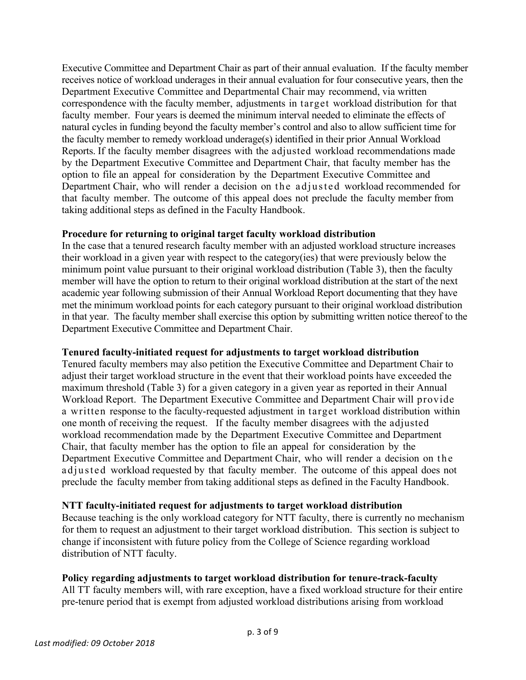Executive Committee and Department Chair as part of their annual evaluation. If the faculty member receives notice of workload underages in their annual evaluation for four consecutive years, then the Department Executive Committee and Departmental Chair may recommend, via written correspondence with the faculty member, adjustments in target workload distribution for that faculty member. Four years is deemed the minimum interval needed to eliminate the effects of natural cycles in funding beyond the faculty member's control and also to allow sufficient time for the faculty member to remedy workload underage(s) identified in their prior Annual Workload Reports. If the faculty member disagrees with the adjusted workload recommendations made by the Department Executive Committee and Department Chair, that faculty member has the option to file an appeal for consideration by the Department Executive Committee and Department Chair, who will render a decision on the adjusted workload recommended for that faculty member. The outcome of this appeal does not preclude the faculty member from taking additional steps as defined in the Faculty Handbook.

## **Procedure for returning to original target faculty workload distribution**

In the case that a tenured research faculty member with an adjusted workload structure increases their workload in a given year with respect to the category(ies) that were previously below the minimum point value pursuant to their original workload distribution (Table 3), then the faculty member will have the option to return to their original workload distribution at the start of the next academic year following submission of their Annual Workload Report documenting that they have met the minimum workload points for each category pursuant to their original workload distribution in that year. The faculty member shall exercise this option by submitting written notice thereof to the Department Executive Committee and Department Chair.

# **Tenured faculty-initiated request for adjustments to target workload distribution**

Tenured faculty members may also petition the Executive Committee and Department Chair to adjust their target workload structure in the event that their workload points have exceeded the maximum threshold (Table 3) for a given category in a given year as reported in their Annual Workload Report. The Department Executive Committee and Department Chair will provide a written response to the faculty-requested adjustment in target workload distribution within one month of receiving the request. If the faculty member disagrees with the adjusted workload recommendation made by the Department Executive Committee and Department Chair, that faculty member has the option to file an appeal for consideration by the Department Executive Committee and Department Chair, who will render a decision on the adjusted workload requested by that faculty member. The outcome of this appeal does not preclude the faculty member from taking additional steps as defined in the Faculty Handbook.

# **NTT faculty-initiated request for adjustments to target workload distribution**

Because teaching is the only workload category for NTT faculty, there is currently no mechanism for them to request an adjustment to their target workload distribution. This section is subject to change if inconsistent with future policy from the College of Science regarding workload distribution of NTT faculty.

# **Policy regarding adjustments to target workload distribution for tenure-track-faculty**

All TT faculty members will, with rare exception, have a fixed workload structure for their entire pre-tenure period that is exempt from adjusted workload distributions arising from workload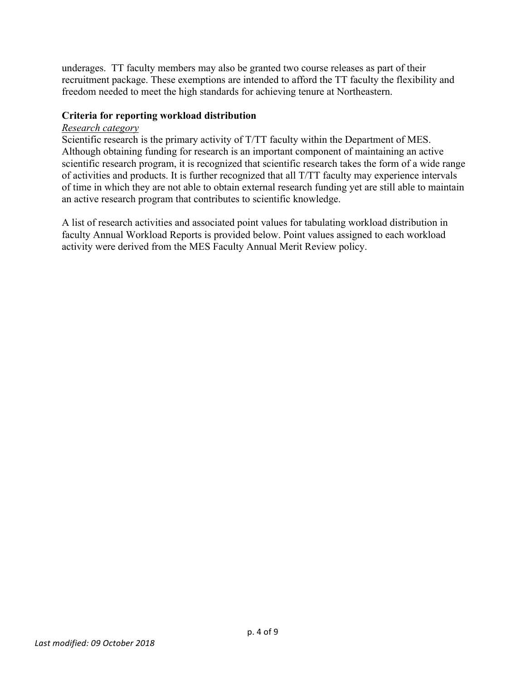underages. TT faculty members may also be granted two course releases as part of their recruitment package. These exemptions are intended to afford the TT faculty the flexibility and freedom needed to meet the high standards for achieving tenure at Northeastern.

## **Criteria for reporting workload distribution**

### *Research category*

Scientific research is the primary activity of T/TT faculty within the Department of MES. Although obtaining funding for research is an important component of maintaining an active scientific research program, it is recognized that scientific research takes the form of a wide range of activities and products. It is further recognized that all T/TT faculty may experience intervals of time in which they are not able to obtain external research funding yet are still able to maintain an active research program that contributes to scientific knowledge.

A list of research activities and associated point values for tabulating workload distribution in faculty Annual Workload Reports is provided below. Point values assigned to each workload activity were derived from the MES Faculty Annual Merit Review policy.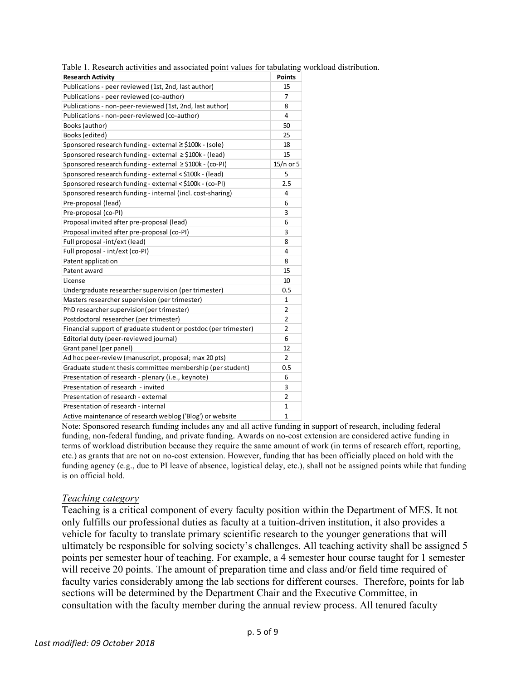Table 1. Research activities and associated point values for tabulating workload distribution.

| <b>Research Activity</b>                                         | Points         |  |
|------------------------------------------------------------------|----------------|--|
| Publications - peer reviewed (1st, 2nd, last author)             | 15             |  |
| Publications - peer reviewed (co-author)                         |                |  |
| Publications - non-peer-reviewed (1st, 2nd, last author)         |                |  |
| Publications - non-peer-reviewed (co-author)                     |                |  |
| Books (author)                                                   |                |  |
| Books (edited)                                                   | 25             |  |
| Sponsored research funding - external $\geq$ \$100k - (sole)     | 18             |  |
| Sponsored research funding - external ≥\$100k - (lead)           | 15             |  |
| Sponsored research funding - external ≥\$100k - (co-PI)          | $15/n$ or 5    |  |
| Sponsored research funding - external < \$100k - (lead)          | 5              |  |
| Sponsored research funding - external < \$100k - (co-PI)         | 2.5            |  |
| Sponsored research funding - internal (incl. cost-sharing)       | 4              |  |
| Pre-proposal (lead)                                              | 6              |  |
| Pre-proposal (co-PI)                                             | 3              |  |
| Proposal invited after pre-proposal (lead)                       | 6              |  |
| Proposal invited after pre-proposal (co-PI)                      | 3              |  |
| Full proposal -int/ext (lead)                                    |                |  |
| Full proposal - int/ext (co-PI)                                  | 4              |  |
| Patent application                                               |                |  |
| Patent award                                                     | 15             |  |
| License                                                          | 10             |  |
| Undergraduate researcher supervision (per trimester)             |                |  |
| Masters researcher supervision (per trimester)                   |                |  |
| PhD researcher supervision(per trimester)                        |                |  |
| Postdoctoral researcher (per trimester)                          |                |  |
| Financial support of graduate student or postdoc (per trimester) |                |  |
| Editorial duty (peer-reviewed journal)                           | 6              |  |
| Grant panel (per panel)                                          | 12             |  |
| Ad hoc peer-review (manuscript, proposal; max 20 pts)            | $\overline{2}$ |  |
| Graduate student thesis committee membership (per student)       |                |  |
| Presentation of research - plenary (i.e., keynote)               |                |  |
| Presentation of research - invited                               |                |  |
| Presentation of research - external                              |                |  |
| Presentation of research - internal                              |                |  |
| Active maintenance of research weblog ('Blog') or website        |                |  |

Note: Sponsored research funding includes any and all active funding in support of research, including federal funding, non-federal funding, and private funding. Awards on no-cost extension are considered active funding in terms of workload distribution because they require the same amount of work (in terms of research effort, reporting, etc.) as grants that are not on no-cost extension. However, funding that has been officially placed on hold with the funding agency (e.g., due to PI leave of absence, logistical delay, etc.), shall not be assigned points while that funding is on official hold.

#### *Teaching category*

Teaching is a critical component of every faculty position within the Department of MES. It not only fulfills our professional duties as faculty at a tuition-driven institution, it also provides a vehicle for faculty to translate primary scientific research to the younger generations that will ultimately be responsible for solving society's challenges. All teaching activity shall be assigned 5 points per semester hour of teaching. For example, a 4 semester hour course taught for 1 semester will receive 20 points. The amount of preparation time and class and/or field time required of faculty varies considerably among the lab sections for different courses. Therefore, points for lab sections will be determined by the Department Chair and the Executive Committee, in consultation with the faculty member during the annual review process. All tenured faculty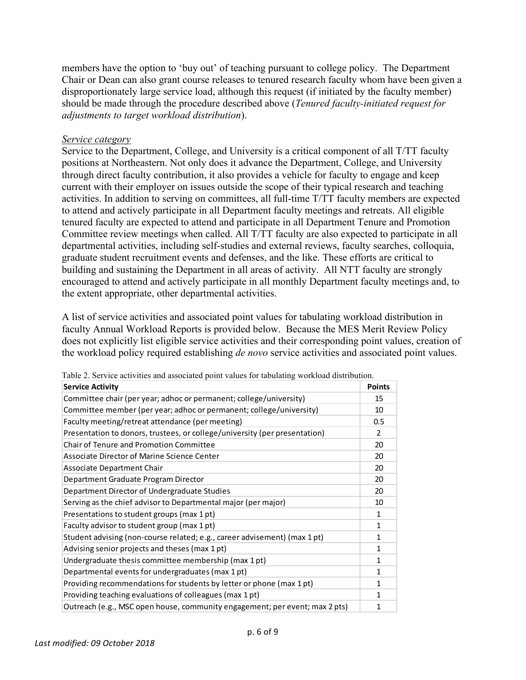members have the option to 'buy out' of teaching pursuant to college policy. The Department Chair or Dean can also grant course releases to tenured research faculty whom have been given a disproportionately large service load, although this request (if initiated by the faculty member) should be made through the procedure described above (*Tenured faculty-initiated request for adjustments to target workload distribution*).

#### *Service category*

Service to the Department, College, and University is a critical component of all T/TT faculty positions at Northeastern. Not only does it advance the Department, College, and University through direct faculty contribution, it also provides a vehicle for faculty to engage and keep current with their employer on issues outside the scope of their typical research and teaching activities. In addition to serving on committees, all full-time T/TT faculty members are expected to attend and actively participate in all Department faculty meetings and retreats. All eligible tenured faculty are expected to attend and participate in all Department Tenure and Promotion Committee review meetings when called. All T/TT faculty are also expected to participate in all departmental activities, including self-studies and external reviews, faculty searches, colloquia, graduate student recruitment events and defenses, and the like. These efforts are critical to building and sustaining the Department in all areas of activity. All NTT faculty are strongly encouraged to attend and actively participate in all monthly Department faculty meetings and, to the extent appropriate, other departmental activities.

A list of service activities and associated point values for tabulating workload distribution in faculty Annual Workload Reports is provided below. Because the MES Merit Review Policy does not explicitly list eligible service activities and their corresponding point values, creation of the workload policy required establishing *de novo* service activities and associated point values.

| <b>Service Activity</b>                                                     | <b>Points</b> |  |
|-----------------------------------------------------------------------------|---------------|--|
| Committee chair (per year; adhoc or permanent; college/university)          |               |  |
| Committee member (per year; adhoc or permanent; college/university)         |               |  |
| Faculty meeting/retreat attendance (per meeting)                            |               |  |
| Presentation to donors, trustees, or college/university (per presentation)  |               |  |
| <b>Chair of Tenure and Promotion Committee</b>                              |               |  |
| Associate Director of Marine Science Center                                 | 20            |  |
| Associate Department Chair                                                  | 20            |  |
| Department Graduate Program Director                                        |               |  |
| Department Director of Undergraduate Studies                                |               |  |
| Serving as the chief advisor to Departmental major (per major)              |               |  |
| Presentations to student groups (max 1 pt)                                  | $\mathbf{1}$  |  |
| Faculty advisor to student group (max 1 pt)                                 |               |  |
| Student advising (non-course related; e.g., career advisement) (max 1 pt)   |               |  |
| Advising senior projects and theses (max 1 pt)                              |               |  |
| Undergraduate thesis committee membership (max 1 pt)                        |               |  |
| Departmental events for undergraduates (max 1 pt)                           |               |  |
| Providing recommendations for students by letter or phone (max 1 pt)        |               |  |
| Providing teaching evaluations of colleagues (max 1 pt)                     |               |  |
| Outreach (e.g., MSC open house, community engagement; per event; max 2 pts) |               |  |

Table 2. Service activities and associated point values for tabulating workload distribution.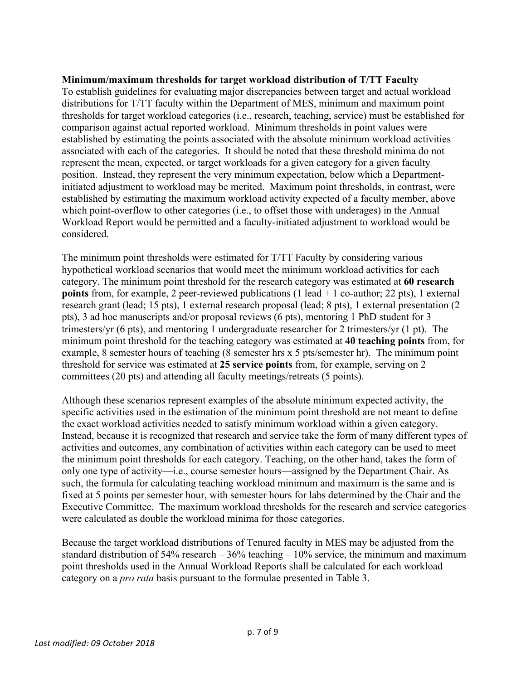## **Minimum/maximum thresholds for target workload distribution of T/TT Faculty**

To establish guidelines for evaluating major discrepancies between target and actual workload distributions for T/TT faculty within the Department of MES, minimum and maximum point thresholds for target workload categories (i.e., research, teaching, service) must be established for comparison against actual reported workload. Minimum thresholds in point values were established by estimating the points associated with the absolute minimum workload activities associated with each of the categories. It should be noted that these threshold minima do not represent the mean, expected, or target workloads for a given category for a given faculty position. Instead, they represent the very minimum expectation, below which a Departmentinitiated adjustment to workload may be merited. Maximum point thresholds, in contrast, were established by estimating the maximum workload activity expected of a faculty member, above which point-overflow to other categories (i.e., to offset those with underages) in the Annual Workload Report would be permitted and a faculty-initiated adjustment to workload would be considered.

The minimum point thresholds were estimated for T/TT Faculty by considering various hypothetical workload scenarios that would meet the minimum workload activities for each category. The minimum point threshold for the research category was estimated at **60 research points** from, for example, 2 peer-reviewed publications (1 lead + 1 co-author; 22 pts), 1 external research grant (lead; 15 pts), 1 external research proposal (lead; 8 pts), 1 external presentation (2 pts), 3 ad hoc manuscripts and/or proposal reviews (6 pts), mentoring 1 PhD student for 3 trimesters/yr (6 pts), and mentoring 1 undergraduate researcher for 2 trimesters/yr (1 pt). The minimum point threshold for the teaching category was estimated at **40 teaching points** from, for example, 8 semester hours of teaching (8 semester hrs x 5 pts/semester hr). The minimum point threshold for service was estimated at **25 service points** from, for example, serving on 2 committees (20 pts) and attending all faculty meetings/retreats (5 points).

Although these scenarios represent examples of the absolute minimum expected activity, the specific activities used in the estimation of the minimum point threshold are not meant to define the exact workload activities needed to satisfy minimum workload within a given category. Instead, because it is recognized that research and service take the form of many different types of activities and outcomes, any combination of activities within each category can be used to meet the minimum point thresholds for each category. Teaching, on the other hand, takes the form of only one type of activity—i.e., course semester hours—assigned by the Department Chair. As such, the formula for calculating teaching workload minimum and maximum is the same and is fixed at 5 points per semester hour, with semester hours for labs determined by the Chair and the Executive Committee. The maximum workload thresholds for the research and service categories were calculated as double the workload minima for those categories.

Because the target workload distributions of Tenured faculty in MES may be adjusted from the standard distribution of  $54\%$  research –  $36\%$  teaching –  $10\%$  service, the minimum and maximum point thresholds used in the Annual Workload Reports shall be calculated for each workload category on a *pro rata* basis pursuant to the formulae presented in Table 3.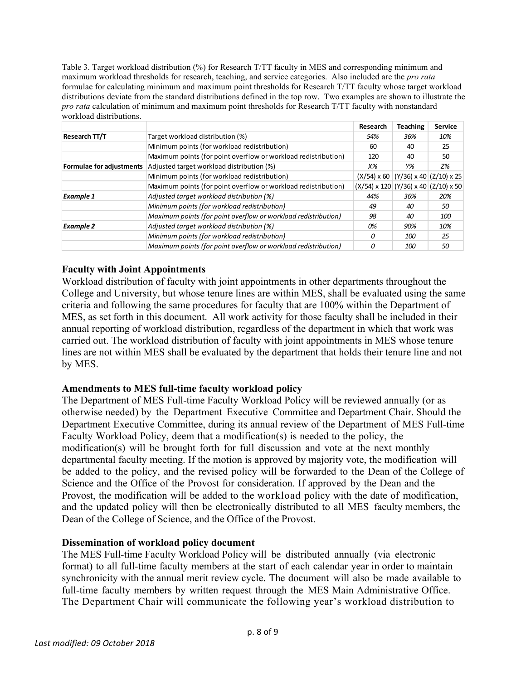Table 3. Target workload distribution (%) for Research T/TT faculty in MES and corresponding minimum and maximum workload thresholds for research, teaching, and service categories. Also included are the *pro rata* formulae for calculating minimum and maximum point thresholds for Research T/TT faculty whose target workload distributions deviate from the standard distributions defined in the top row. Two examples are shown to illustrate the *pro rata* calculation of minimum and maximum point thresholds for Research T/TT faculty with nonstandard workload distributions.

|                          |                                                                | Research                                  | <b>Teaching</b> | <b>Service</b> |
|--------------------------|----------------------------------------------------------------|-------------------------------------------|-----------------|----------------|
| Research TT/T            | Target workload distribution (%)                               | 54%                                       | 36%             | 10%            |
|                          | Minimum points (for workload redistribution)                   | 60                                        | 40              | 25             |
|                          | Maximum points (for point overflow or workload redistribution) | 120                                       | 40              | 50             |
| Formulae for adjustments | Adjusted target workload distribution (%)                      | Х%                                        | Y%              | Z%             |
|                          | Minimum points (for workload redistribution)                   | $(X/54)$ x 60 $(Y/36)$ x 40 $(Z/10)$ x 25 |                 |                |
|                          | Maximum points (for point overflow or workload redistribution) | $(X/54)$ x 120 (Y/36) x 40 (Z/10) x 50    |                 |                |
| <b>Example 1</b>         | Adjusted target workload distribution (%)                      | 44%                                       | 36%             | 20%            |
|                          | Minimum points (for workload redistribution)                   | 49                                        | 40              | 50             |
|                          | Maximum points (for point overflow or workload redistribution) | 98                                        | 40              | 100            |
| <b>Example 2</b>         | Adjusted target workload distribution (%)                      | 0%                                        | 90%             | 10%            |
|                          | Minimum points (for workload redistribution)                   | O                                         | 100             | 25             |
|                          | Maximum points (for point overflow or workload redistribution) | 0                                         | <i>100</i>      | 50             |

# **Faculty with Joint Appointments**

Workload distribution of faculty with joint appointments in other departments throughout the College and University, but whose tenure lines are within MES, shall be evaluated using the same criteria and following the same procedures for faculty that are 100% within the Department of MES, as set forth in this document. All work activity for those faculty shall be included in their annual reporting of workload distribution, regardless of the department in which that work was carried out. The workload distribution of faculty with joint appointments in MES whose tenure lines are not within MES shall be evaluated by the department that holds their tenure line and not by MES.

# **Amendments to MES full-time faculty workload policy**

The Department of MES Full-time Faculty Workload Policy will be reviewed annually (or as otherwise needed) by the Department Executive Committee and Department Chair. Should the Department Executive Committee, during its annual review of the Department of MES Full-time Faculty Workload Policy, deem that a modification(s) is needed to the policy, the modification(s) will be brought forth for full discussion and vote at the next monthly departmental faculty meeting. If the motion is approved by majority vote, the modification will be added to the policy, and the revised policy will be forwarded to the Dean of the College of Science and the Office of the Provost for consideration. If approved by the Dean and the Provost, the modification will be added to the workload policy with the date of modification, and the updated policy will then be electronically distributed to all MES faculty members, the Dean of the College of Science, and the Office of the Provost.

# **Dissemination of workload policy document**

The MES Full-time Faculty Workload Policy will be distributed annually (via electronic format) to all full-time faculty members at the start of each calendar year in order to maintain synchronicity with the annual merit review cycle. The document will also be made available to full-time faculty members by written request through the MES Main Administrative Office. The Department Chair will communicate the following year's workload distribution to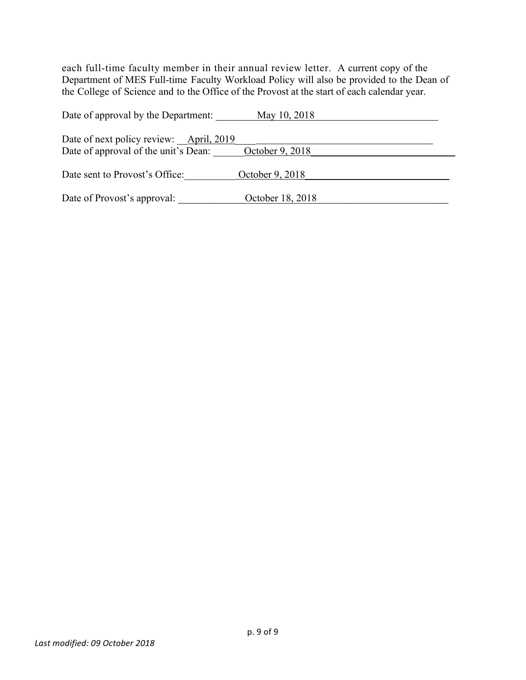each full-time faculty member in their annual review letter. A current copy of the Department of MES Full-time Faculty Workload Policy will also be provided to the Dean of the College of Science and to the Office of the Provost at the start of each calendar year.

| Date of approval by the Department:                                             | May 10, 2018     |
|---------------------------------------------------------------------------------|------------------|
| Date of next policy review: April, 2019<br>Date of approval of the unit's Dean: | October 9, 2018  |
| Date sent to Provost's Office:                                                  | October 9, 2018  |
| Date of Provost's approval:                                                     | October 18, 2018 |